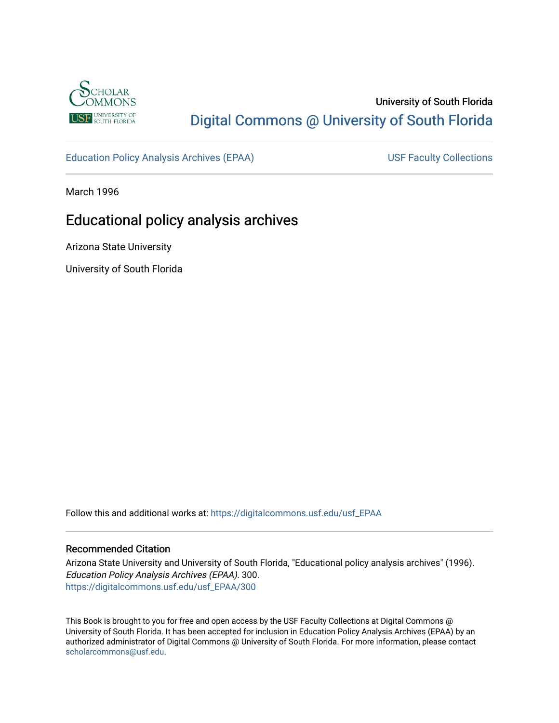

## University of South Florida [Digital Commons @ University of South Florida](https://digitalcommons.usf.edu/)

[Education Policy Analysis Archives \(EPAA\)](https://digitalcommons.usf.edu/usf_EPAA) USF Faculty Collections

March 1996

# Educational policy analysis archives

Arizona State University

University of South Florida

Follow this and additional works at: [https://digitalcommons.usf.edu/usf\\_EPAA](https://digitalcommons.usf.edu/usf_EPAA?utm_source=digitalcommons.usf.edu%2Fusf_EPAA%2F300&utm_medium=PDF&utm_campaign=PDFCoverPages)

#### Recommended Citation

Arizona State University and University of South Florida, "Educational policy analysis archives" (1996). Education Policy Analysis Archives (EPAA). 300. [https://digitalcommons.usf.edu/usf\\_EPAA/300](https://digitalcommons.usf.edu/usf_EPAA/300?utm_source=digitalcommons.usf.edu%2Fusf_EPAA%2F300&utm_medium=PDF&utm_campaign=PDFCoverPages)

This Book is brought to you for free and open access by the USF Faculty Collections at Digital Commons @ University of South Florida. It has been accepted for inclusion in Education Policy Analysis Archives (EPAA) by an authorized administrator of Digital Commons @ University of South Florida. For more information, please contact [scholarcommons@usf.edu.](mailto:scholarcommons@usf.edu)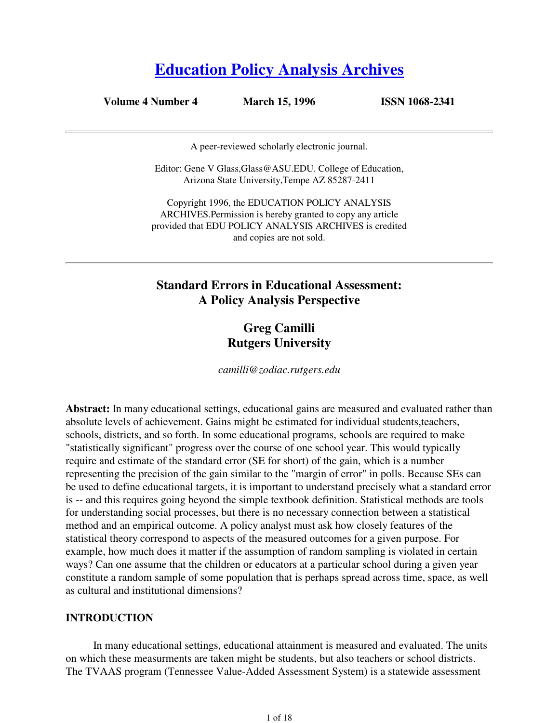# **Education Policy Analysis Archives**

**Volume 4 Number 4 March 15, 1996 ISSN 1068-2341**

A peer-reviewed scholarly electronic journal.

Editor: Gene V Glass,Glass@ASU.EDU. College of Education, Arizona State University,Tempe AZ 85287-2411

Copyright 1996, the EDUCATION POLICY ANALYSIS ARCHIVES.Permission is hereby granted to copy any article provided that EDU POLICY ANALYSIS ARCHIVES is credited and copies are not sold.

## **Standard Errors in Educational Assessment: A Policy Analysis Perspective**

## **Greg Camilli Rutgers University**

*camilli@zodiac.rutgers.edu*

**Abstract:** In many educational settings, educational gains are measured and evaluated rather than absolute levels of achievement. Gains might be estimated for individual students,teachers, schools, districts, and so forth. In some educational programs, schools are required to make "statistically significant" progress over the course of one school year. This would typically require and estimate of the standard error (SE for short) of the gain, which is a number representing the precision of the gain similar to the "margin of error" in polls. Because SEs can be used to define educational targets, it is important to understand precisely what a standard error is -- and this requires going beyond the simple textbook definition. Statistical methods are tools for understanding social processes, but there is no necessary connection between a statistical method and an empirical outcome. A policy analyst must ask how closely features of the statistical theory correspond to aspects of the measured outcomes for a given purpose. For example, how much does it matter if the assumption of random sampling is violated in certain ways? Can one assume that the children or educators at a particular school during a given year constitute a random sample of some population that is perhaps spread across time, space, as well as cultural and institutional dimensions?

#### **INTRODUCTION**

In many educational settings, educational attainment is measured and evaluated. The units on which these measurments are taken might be students, but also teachers or school districts. The TVAAS program (Tennessee Value-Added Assessment System) is a statewide assessment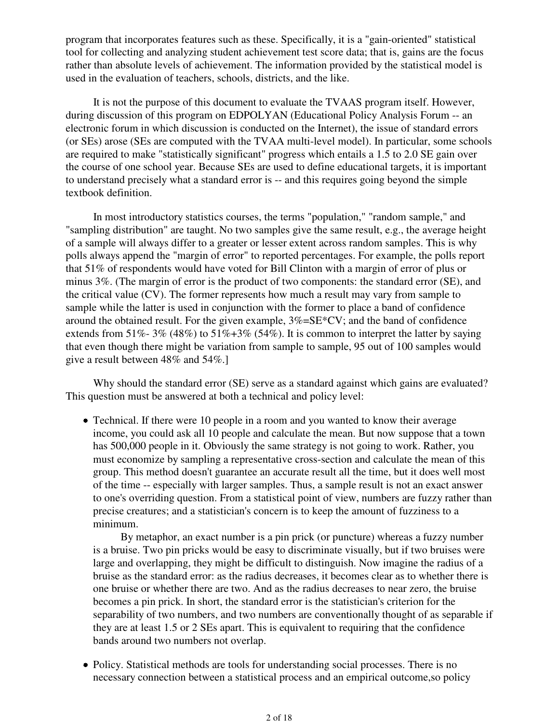program that incorporates features such as these. Specifically, it is a "gain-oriented" statistical tool for collecting and analyzing student achievement test score data; that is, gains are the focus rather than absolute levels of achievement. The information provided by the statistical model is used in the evaluation of teachers, schools, districts, and the like.

It is not the purpose of this document to evaluate the TVAAS program itself. However, during discussion of this program on EDPOLYAN (Educational Policy Analysis Forum -- an electronic forum in which discussion is conducted on the Internet), the issue of standard errors (or SEs) arose (SEs are computed with the TVAA multi-level model). In particular, some schools are required to make "statistically significant" progress which entails a 1.5 to 2.0 SE gain over the course of one school year. Because SEs are used to define educational targets, it is important to understand precisely what a standard error is -- and this requires going beyond the simple textbook definition.

In most introductory statistics courses, the terms "population," "random sample," and "sampling distribution" are taught. No two samples give the same result, e.g., the average height of a sample will always differ to a greater or lesser extent across random samples. This is why polls always append the "margin of error" to reported percentages. For example, the polls report that 51% of respondents would have voted for Bill Clinton with a margin of error of plus or minus 3%. (The margin of error is the product of two components: the standard error (SE), and the critical value (CV). The former represents how much a result may vary from sample to sample while the latter is used in conjunction with the former to place a band of confidence around the obtained result. For the given example,  $3\% = SE^*CV$ ; and the band of confidence extends from 51%- 3% (48%) to 51%+3% (54%). It is common to interpret the latter by saying that even though there might be variation from sample to sample, 95 out of 100 samples would give a result between 48% and 54%.]

Why should the standard error (SE) serve as a standard against which gains are evaluated? This question must be answered at both a technical and policy level:

Technical. If there were 10 people in a room and you wanted to know their average income, you could ask all 10 people and calculate the mean. But now suppose that a town has 500,000 people in it. Obviously the same strategy is not going to work. Rather, you must economize by sampling a representative cross-section and calculate the mean of this group. This method doesn't guarantee an accurate result all the time, but it does well most of the time -- especially with larger samples. Thus, a sample result is not an exact answer to one's overriding question. From a statistical point of view, numbers are fuzzy rather than precise creatures; and a statistician's concern is to keep the amount of fuzziness to a minimum.

By metaphor, an exact number is a pin prick (or puncture) whereas a fuzzy number is a bruise. Two pin pricks would be easy to discriminate visually, but if two bruises were large and overlapping, they might be difficult to distinguish. Now imagine the radius of a bruise as the standard error: as the radius decreases, it becomes clear as to whether there is one bruise or whether there are two. And as the radius decreases to near zero, the bruise becomes a pin prick. In short, the standard error is the statistician's criterion for the separability of two numbers, and two numbers are conventionally thought of as separable if they are at least 1.5 or 2 SEs apart. This is equivalent to requiring that the confidence bands around two numbers not overlap.

Policy. Statistical methods are tools for understanding social processes. There is no necessary connection between a statistical process and an empirical outcome,so policy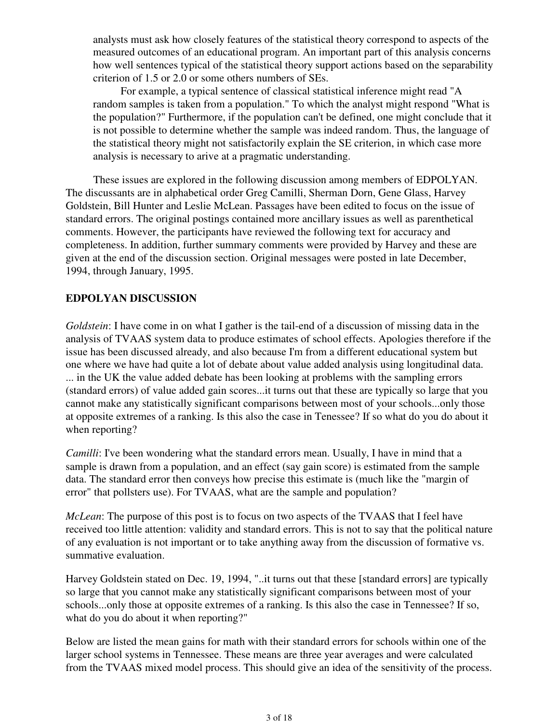analysts must ask how closely features of the statistical theory correspond to aspects of the measured outcomes of an educational program. An important part of this analysis concerns how well sentences typical of the statistical theory support actions based on the separability criterion of 1.5 or 2.0 or some others numbers of SEs.

For example, a typical sentence of classical statistical inference might read "A random samples is taken from a population." To which the analyst might respond "What is the population?" Furthermore, if the population can't be defined, one might conclude that it is not possible to determine whether the sample was indeed random. Thus, the language of the statistical theory might not satisfactorily explain the SE criterion, in which case more analysis is necessary to arive at a pragmatic understanding.

These issues are explored in the following discussion among members of EDPOLYAN. The discussants are in alphabetical order Greg Camilli, Sherman Dorn, Gene Glass, Harvey Goldstein, Bill Hunter and Leslie McLean. Passages have been edited to focus on the issue of standard errors. The original postings contained more ancillary issues as well as parenthetical comments. However, the participants have reviewed the following text for accuracy and completeness. In addition, further summary comments were provided by Harvey and these are given at the end of the discussion section. Original messages were posted in late December, 1994, through January, 1995.

#### **EDPOLYAN DISCUSSION**

*Goldstein*: I have come in on what I gather is the tail-end of a discussion of missing data in the analysis of TVAAS system data to produce estimates of school effects. Apologies therefore if the issue has been discussed already, and also because I'm from a different educational system but one where we have had quite a lot of debate about value added analysis using longitudinal data. ... in the UK the value added debate has been looking at problems with the sampling errors (standard errors) of value added gain scores...it turns out that these are typically so large that you cannot make any statistically significant comparisons between most of your schools...only those at opposite extremes of a ranking. Is this also the case in Tenessee? If so what do you do about it when reporting?

*Camilli*: I've been wondering what the standard errors mean. Usually, I have in mind that a sample is drawn from a population, and an effect (say gain score) is estimated from the sample data. The standard error then conveys how precise this estimate is (much like the "margin of error" that pollsters use). For TVAAS, what are the sample and population?

*McLean*: The purpose of this post is to focus on two aspects of the TVAAS that I feel have received too little attention: validity and standard errors. This is not to say that the political nature of any evaluation is not important or to take anything away from the discussion of formative vs. summative evaluation.

Harvey Goldstein stated on Dec. 19, 1994, "..it turns out that these [standard errors] are typically so large that you cannot make any statistically significant comparisons between most of your schools...only those at opposite extremes of a ranking. Is this also the case in Tennessee? If so, what do you do about it when reporting?"

Below are listed the mean gains for math with their standard errors for schools within one of the larger school systems in Tennessee. These means are three year averages and were calculated from the TVAAS mixed model process. This should give an idea of the sensitivity of the process.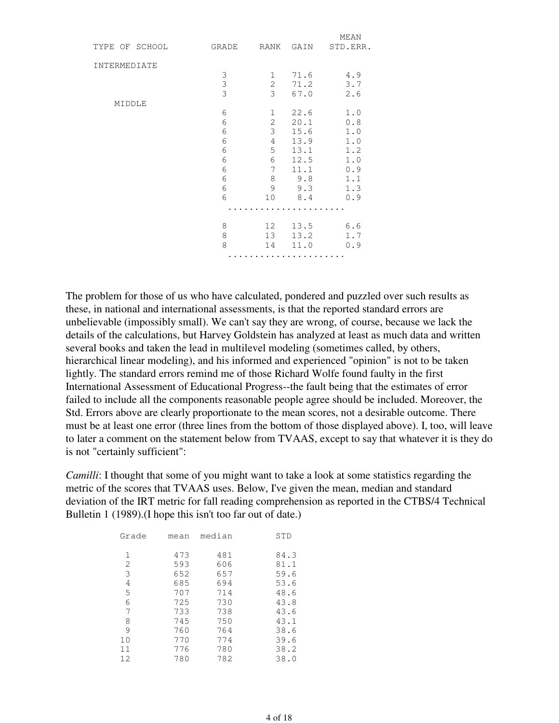| TYPE OF SCHOOL | <b>GRADE</b>   | RANK           | GAIN | MEAN<br>STD.ERR. |
|----------------|----------------|----------------|------|------------------|
| INTERMEDIATE   |                |                |      |                  |
|                | 3              | $\mathbf{1}$   | 71.6 | 4.9              |
|                | 3              | $\overline{2}$ | 71.2 | 3.7              |
|                | $\overline{3}$ | 3              | 67.0 | 2.6              |
| MIDDLE         |                |                |      |                  |
|                | 6              | $\mathbf{1}$   | 22.6 | 1.0              |
|                | 6              | 2              | 20.1 | 0.8              |
|                | 6              | 3              | 15.6 | 1.0              |
|                | 6              | $\overline{4}$ | 13.9 | 1.0              |
|                | 6              | 5              | 13.1 | 1.2              |
|                | 6              | 6              | 12.5 | 1.0              |
|                | 6              | 7              | 11.1 | 0.9              |
|                | 6              | 8              | 9.8  | 1.1              |
|                | 6              | 9              | 9.3  | 1.3              |
|                | 6              | 10             | 8.4  | 0.9              |
|                |                |                |      |                  |
|                | 8              | 12             | 13.5 | 6.6              |
|                | 8              | 13             | 13.2 | 1.7              |
|                | 8              | 14             | 11.0 | 0.9              |
|                |                |                |      |                  |

The problem for those of us who have calculated, pondered and puzzled over such results as these, in national and international assessments, is that the reported standard errors are unbelievable (impossibly small). We can't say they are wrong, of course, because we lack the details of the calculations, but Harvey Goldstein has analyzed at least as much data and written several books and taken the lead in multilevel modeling (sometimes called, by others, hierarchical linear modeling), and his informed and experienced "opinion" is not to be taken lightly. The standard errors remind me of those Richard Wolfe found faulty in the first International Assessment of Educational Progress--the fault being that the estimates of error failed to include all the components reasonable people agree should be included. Moreover, the Std. Errors above are clearly proportionate to the mean scores, not a desirable outcome. There must be at least one error (three lines from the bottom of those displayed above). I, too, will leave to later a comment on the statement below from TVAAS, except to say that whatever it is they do is not "certainly sufficient":

*Camilli*: I thought that some of you might want to take a look at some statistics regarding the metric of the scores that TVAAS uses. Below, I've given the mean, median and standard deviation of the IRT metric for fall reading comprehension as reported in the CTBS/4 Technical Bulletin 1 (1989).(I hope this isn't too far out of date.)

| Grade | mean | median | STD  |
|-------|------|--------|------|
| 1     | 473  | 481    | 84.3 |
| 2     | 593  | 606    | 81.1 |
| 3     | 652  | 657    | 59.6 |
| 4     | 685  | 694    | 53.6 |
| 5     | 707  | 714    | 48.6 |
| 6     | 725  | 730    | 43.8 |
| 7     | 733  | 738    | 43.6 |
| 8     | 745  | 750    | 43.1 |
| 9     | 760  | 764    | 38.6 |
| 10    | 770  | 774    | 39.6 |
| 11    | 776  | 780    | 38.2 |
| 12    | 780  | 782    | 38.0 |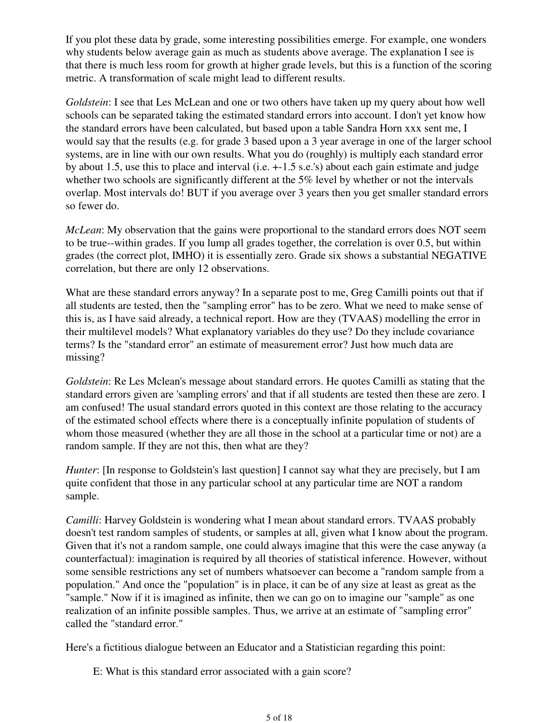If you plot these data by grade, some interesting possibilities emerge. For example, one wonders why students below average gain as much as students above average. The explanation I see is that there is much less room for growth at higher grade levels, but this is a function of the scoring metric. A transformation of scale might lead to different results.

*Goldstein*: I see that Les McLean and one or two others have taken up my query about how well schools can be separated taking the estimated standard errors into account. I don't yet know how the standard errors have been calculated, but based upon a table Sandra Horn xxx sent me, I would say that the results (e.g. for grade 3 based upon a 3 year average in one of the larger school systems, are in line with our own results. What you do (roughly) is multiply each standard error by about 1.5, use this to place and interval (i.e. +-1.5 s.e.'s) about each gain estimate and judge whether two schools are significantly different at the 5% level by whether or not the intervals overlap. Most intervals do! BUT if you average over 3 years then you get smaller standard errors so fewer do.

*McLean*: My observation that the gains were proportional to the standard errors does NOT seem to be true--within grades. If you lump all grades together, the correlation is over 0.5, but within grades (the correct plot, IMHO) it is essentially zero. Grade six shows a substantial NEGATIVE correlation, but there are only 12 observations.

What are these standard errors anyway? In a separate post to me, Greg Camilli points out that if all students are tested, then the "sampling error" has to be zero. What we need to make sense of this is, as I have said already, a technical report. How are they (TVAAS) modelling the error in their multilevel models? What explanatory variables do they use? Do they include covariance terms? Is the "standard error" an estimate of measurement error? Just how much data are missing?

*Goldstein*: Re Les Mclean's message about standard errors. He quotes Camilli as stating that the standard errors given are 'sampling errors' and that if all students are tested then these are zero. I am confused! The usual standard errors quoted in this context are those relating to the accuracy of the estimated school effects where there is a conceptually infinite population of students of whom those measured (whether they are all those in the school at a particular time or not) are a random sample. If they are not this, then what are they?

*Hunter*: [In response to Goldstein's last question] I cannot say what they are precisely, but I am quite confident that those in any particular school at any particular time are NOT a random sample.

*Camilli*: Harvey Goldstein is wondering what I mean about standard errors. TVAAS probably doesn't test random samples of students, or samples at all, given what I know about the program. Given that it's not a random sample, one could always imagine that this were the case anyway (a counterfactual): imagination is required by all theories of statistical inference. However, without some sensible restrictions any set of numbers whatsoever can become a "random sample from a population." And once the "population" is in place, it can be of any size at least as great as the "sample." Now if it is imagined as infinite, then we can go on to imagine our "sample" as one realization of an infinite possible samples. Thus, we arrive at an estimate of "sampling error" called the "standard error."

Here's a fictitious dialogue between an Educator and a Statistician regarding this point:

E: What is this standard error associated with a gain score?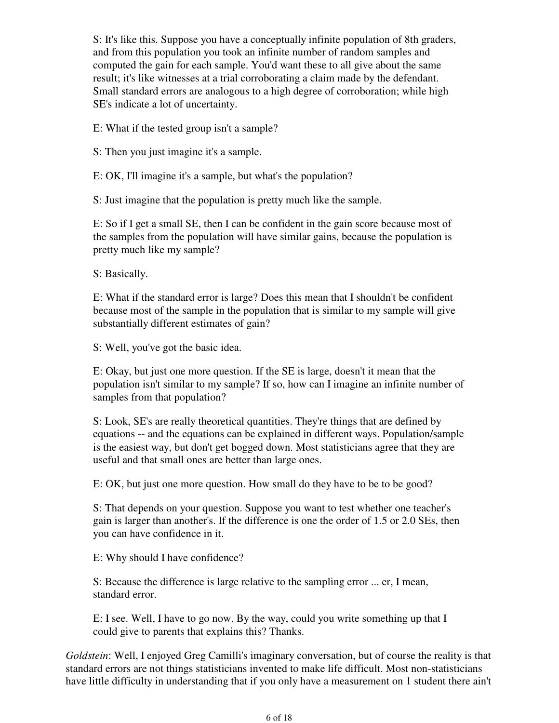S: It's like this. Suppose you have a conceptually infinite population of 8th graders, and from this population you took an infinite number of random samples and computed the gain for each sample. You'd want these to all give about the same result; it's like witnesses at a trial corroborating a claim made by the defendant. Small standard errors are analogous to a high degree of corroboration; while high SE's indicate a lot of uncertainty.

E: What if the tested group isn't a sample?

S: Then you just imagine it's a sample.

E: OK, I'll imagine it's a sample, but what's the population?

S: Just imagine that the population is pretty much like the sample.

E: So if I get a small SE, then I can be confident in the gain score because most of the samples from the population will have similar gains, because the population is pretty much like my sample?

S: Basically.

E: What if the standard error is large? Does this mean that I shouldn't be confident because most of the sample in the population that is similar to my sample will give substantially different estimates of gain?

S: Well, you've got the basic idea.

E: Okay, but just one more question. If the SE is large, doesn't it mean that the population isn't similar to my sample? If so, how can I imagine an infinite number of samples from that population?

S: Look, SE's are really theoretical quantities. They're things that are defined by equations -- and the equations can be explained in different ways. Population/sample is the easiest way, but don't get bogged down. Most statisticians agree that they are useful and that small ones are better than large ones.

E: OK, but just one more question. How small do they have to be to be good?

S: That depends on your question. Suppose you want to test whether one teacher's gain is larger than another's. If the difference is one the order of 1.5 or 2.0 SEs, then you can have confidence in it.

E: Why should I have confidence?

S: Because the difference is large relative to the sampling error ... er, I mean, standard error.

E: I see. Well, I have to go now. By the way, could you write something up that I could give to parents that explains this? Thanks.

*Goldstein*: Well, I enjoyed Greg Camilli's imaginary conversation, but of course the reality is that standard errors are not things statisticians invented to make life difficult. Most non-statisticians have little difficulty in understanding that if you only have a measurement on 1 student there ain't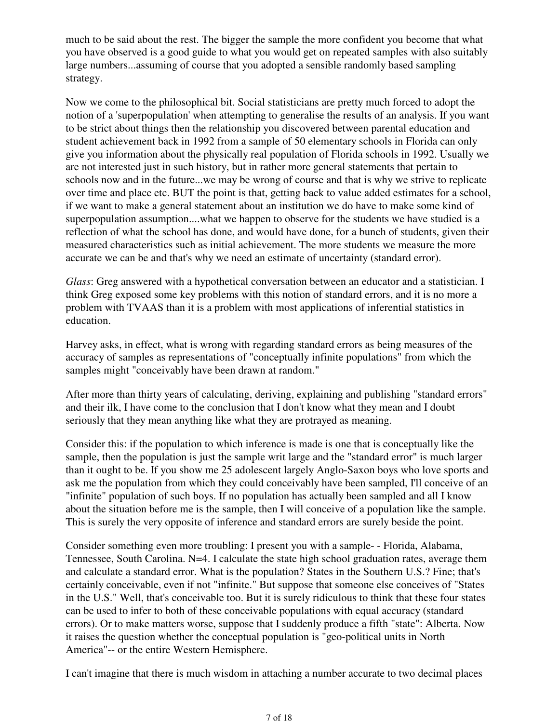much to be said about the rest. The bigger the sample the more confident you become that what you have observed is a good guide to what you would get on repeated samples with also suitably large numbers...assuming of course that you adopted a sensible randomly based sampling strategy.

Now we come to the philosophical bit. Social statisticians are pretty much forced to adopt the notion of a 'superpopulation' when attempting to generalise the results of an analysis. If you want to be strict about things then the relationship you discovered between parental education and student achievement back in 1992 from a sample of 50 elementary schools in Florida can only give you information about the physically real population of Florida schools in 1992. Usually we are not interested just in such history, but in rather more general statements that pertain to schools now and in the future...we may be wrong of course and that is why we strive to replicate over time and place etc. BUT the point is that, getting back to value added estimates for a school, if we want to make a general statement about an institution we do have to make some kind of superpopulation assumption....what we happen to observe for the students we have studied is a reflection of what the school has done, and would have done, for a bunch of students, given their measured characteristics such as initial achievement. The more students we measure the more accurate we can be and that's why we need an estimate of uncertainty (standard error).

*Glass*: Greg answered with a hypothetical conversation between an educator and a statistician. I think Greg exposed some key problems with this notion of standard errors, and it is no more a problem with TVAAS than it is a problem with most applications of inferential statistics in education.

Harvey asks, in effect, what is wrong with regarding standard errors as being measures of the accuracy of samples as representations of "conceptually infinite populations" from which the samples might "conceivably have been drawn at random."

After more than thirty years of calculating, deriving, explaining and publishing "standard errors" and their ilk, I have come to the conclusion that I don't know what they mean and I doubt seriously that they mean anything like what they are protrayed as meaning.

Consider this: if the population to which inference is made is one that is conceptually like the sample, then the population is just the sample writ large and the "standard error" is much larger than it ought to be. If you show me 25 adolescent largely Anglo-Saxon boys who love sports and ask me the population from which they could conceivably have been sampled, I'll conceive of an "infinite" population of such boys. If no population has actually been sampled and all I know about the situation before me is the sample, then I will conceive of a population like the sample. This is surely the very opposite of inference and standard errors are surely beside the point.

Consider something even more troubling: I present you with a sample- - Florida, Alabama, Tennessee, South Carolina. N=4. I calculate the state high school graduation rates, average them and calculate a standard error. What is the population? States in the Southern U.S.? Fine; that's certainly conceivable, even if not "infinite." But suppose that someone else conceives of "States in the U.S." Well, that's conceivable too. But it is surely ridiculous to think that these four states can be used to infer to both of these conceivable populations with equal accuracy (standard errors). Or to make matters worse, suppose that I suddenly produce a fifth "state": Alberta. Now it raises the question whether the conceptual population is "geo-political units in North America"-- or the entire Western Hemisphere.

I can't imagine that there is much wisdom in attaching a number accurate to two decimal places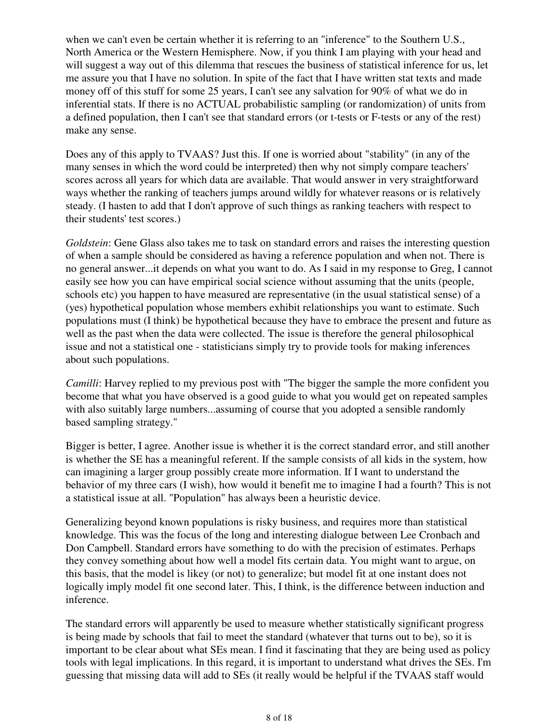when we can't even be certain whether it is referring to an "inference" to the Southern U.S., North America or the Western Hemisphere. Now, if you think I am playing with your head and will suggest a way out of this dilemma that rescues the business of statistical inference for us, let me assure you that I have no solution. In spite of the fact that I have written stat texts and made money off of this stuff for some 25 years, I can't see any salvation for 90% of what we do in inferential stats. If there is no ACTUAL probabilistic sampling (or randomization) of units from a defined population, then I can't see that standard errors (or t-tests or F-tests or any of the rest) make any sense.

Does any of this apply to TVAAS? Just this. If one is worried about "stability" (in any of the many senses in which the word could be interpreted) then why not simply compare teachers' scores across all years for which data are available. That would answer in very straightforward ways whether the ranking of teachers jumps around wildly for whatever reasons or is relatively steady. (I hasten to add that I don't approve of such things as ranking teachers with respect to their students' test scores.)

*Goldstein*: Gene Glass also takes me to task on standard errors and raises the interesting question of when a sample should be considered as having a reference population and when not. There is no general answer...it depends on what you want to do. As I said in my response to Greg, I cannot easily see how you can have empirical social science without assuming that the units (people, schools etc) you happen to have measured are representative (in the usual statistical sense) of a (yes) hypothetical population whose members exhibit relationships you want to estimate. Such populations must (I think) be hypothetical because they have to embrace the present and future as well as the past when the data were collected. The issue is therefore the general philosophical issue and not a statistical one - statisticians simply try to provide tools for making inferences about such populations.

*Camilli*: Harvey replied to my previous post with "The bigger the sample the more confident you become that what you have observed is a good guide to what you would get on repeated samples with also suitably large numbers...assuming of course that you adopted a sensible randomly based sampling strategy."

Bigger is better, I agree. Another issue is whether it is the correct standard error, and still another is whether the SE has a meaningful referent. If the sample consists of all kids in the system, how can imagining a larger group possibly create more information. If I want to understand the behavior of my three cars (I wish), how would it benefit me to imagine I had a fourth? This is not a statistical issue at all. "Population" has always been a heuristic device.

Generalizing beyond known populations is risky business, and requires more than statistical knowledge. This was the focus of the long and interesting dialogue between Lee Cronbach and Don Campbell. Standard errors have something to do with the precision of estimates. Perhaps they convey something about how well a model fits certain data. You might want to argue, on this basis, that the model is likey (or not) to generalize; but model fit at one instant does not logically imply model fit one second later. This, I think, is the difference between induction and inference.

The standard errors will apparently be used to measure whether statistically significant progress is being made by schools that fail to meet the standard (whatever that turns out to be), so it is important to be clear about what SEs mean. I find it fascinating that they are being used as policy tools with legal implications. In this regard, it is important to understand what drives the SEs. I'm guessing that missing data will add to SEs (it really would be helpful if the TVAAS staff would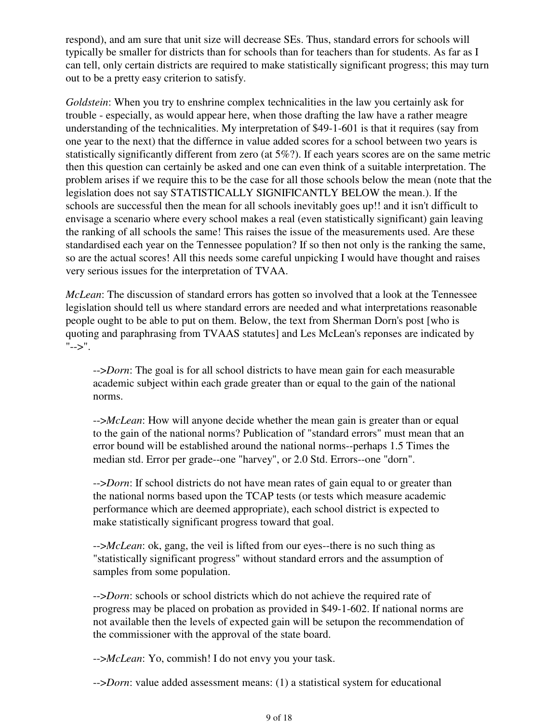respond), and am sure that unit size will decrease SEs. Thus, standard errors for schools will typically be smaller for districts than for schools than for teachers than for students. As far as I can tell, only certain districts are required to make statistically significant progress; this may turn out to be a pretty easy criterion to satisfy.

*Goldstein*: When you try to enshrine complex technicalities in the law you certainly ask for trouble - especially, as would appear here, when those drafting the law have a rather meagre understanding of the technicalities. My interpretation of \$49-1-601 is that it requires (say from one year to the next) that the differnce in value added scores for a school between two years is statistically significantly different from zero (at 5%?). If each years scores are on the same metric then this question can certainly be asked and one can even think of a suitable interpretation. The problem arises if we require this to be the case for all those schools below the mean (note that the legislation does not say STATISTICALLY SIGNIFICANTLY BELOW the mean.). If the schools are successful then the mean for all schools inevitably goes up!! and it isn't difficult to envisage a scenario where every school makes a real (even statistically significant) gain leaving the ranking of all schools the same! This raises the issue of the measurements used. Are these standardised each year on the Tennessee population? If so then not only is the ranking the same, so are the actual scores! All this needs some careful unpicking I would have thought and raises very serious issues for the interpretation of TVAA.

*McLean*: The discussion of standard errors has gotten so involved that a look at the Tennessee legislation should tell us where standard errors are needed and what interpretations reasonable people ought to be able to put on them. Below, the text from Sherman Dorn's post [who is quoting and paraphrasing from TVAAS statutes] and Les McLean's reponses are indicated by  $"--"$ .

-->*Dorn*: The goal is for all school districts to have mean gain for each measurable academic subject within each grade greater than or equal to the gain of the national norms.

-->*McLean*: How will anyone decide whether the mean gain is greater than or equal to the gain of the national norms? Publication of "standard errors" must mean that an error bound will be established around the national norms--perhaps 1.5 Times the median std. Error per grade--one "harvey", or 2.0 Std. Errors--one "dorn".

-->*Dorn*: If school districts do not have mean rates of gain equal to or greater than the national norms based upon the TCAP tests (or tests which measure academic performance which are deemed appropriate), each school district is expected to make statistically significant progress toward that goal.

-->*McLean*: ok, gang, the veil is lifted from our eyes--there is no such thing as "statistically significant progress" without standard errors and the assumption of samples from some population.

-->*Dorn*: schools or school districts which do not achieve the required rate of progress may be placed on probation as provided in \$49-1-602. If national norms are not available then the levels of expected gain will be setupon the recommendation of the commissioner with the approval of the state board.

-->*McLean*: Yo, commish! I do not envy you your task.

-->*Dorn*: value added assessment means: (1) a statistical system for educational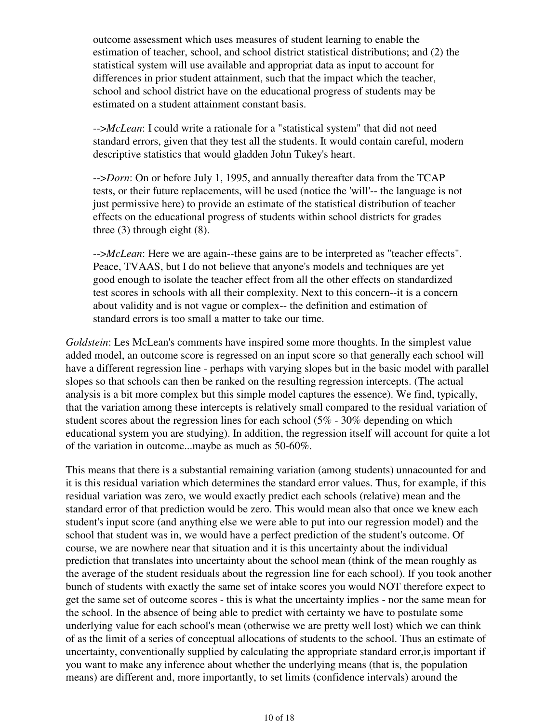outcome assessment which uses measures of student learning to enable the estimation of teacher, school, and school district statistical distributions; and (2) the statistical system will use available and appropriat data as input to account for differences in prior student attainment, such that the impact which the teacher, school and school district have on the educational progress of students may be estimated on a student attainment constant basis.

-->*McLean*: I could write a rationale for a "statistical system" that did not need standard errors, given that they test all the students. It would contain careful, modern descriptive statistics that would gladden John Tukey's heart.

-->*Dorn*: On or before July 1, 1995, and annually thereafter data from the TCAP tests, or their future replacements, will be used (notice the 'will'-- the language is not just permissive here) to provide an estimate of the statistical distribution of teacher effects on the educational progress of students within school districts for grades three (3) through eight (8).

-->*McLean*: Here we are again--these gains are to be interpreted as "teacher effects". Peace, TVAAS, but I do not believe that anyone's models and techniques are yet good enough to isolate the teacher effect from all the other effects on standardized test scores in schools with all their complexity. Next to this concern--it is a concern about validity and is not vague or complex-- the definition and estimation of standard errors is too small a matter to take our time.

*Goldstein*: Les McLean's comments have inspired some more thoughts. In the simplest value added model, an outcome score is regressed on an input score so that generally each school will have a different regression line - perhaps with varying slopes but in the basic model with parallel slopes so that schools can then be ranked on the resulting regression intercepts. (The actual analysis is a bit more complex but this simple model captures the essence). We find, typically, that the variation among these intercepts is relatively small compared to the residual variation of student scores about the regression lines for each school (5% - 30% depending on which educational system you are studying). In addition, the regression itself will account for quite a lot of the variation in outcome...maybe as much as 50-60%.

This means that there is a substantial remaining variation (among students) unnacounted for and it is this residual variation which determines the standard error values. Thus, for example, if this residual variation was zero, we would exactly predict each schools (relative) mean and the standard error of that prediction would be zero. This would mean also that once we knew each student's input score (and anything else we were able to put into our regression model) and the school that student was in, we would have a perfect prediction of the student's outcome. Of course, we are nowhere near that situation and it is this uncertainty about the individual prediction that translates into uncertainty about the school mean (think of the mean roughly as the average of the student residuals about the regression line for each school). If you took another bunch of students with exactly the same set of intake scores you would NOT therefore expect to get the same set of outcome scores - this is what the uncertainty implies - nor the same mean for the school. In the absence of being able to predict with certainty we have to postulate some underlying value for each school's mean (otherwise we are pretty well lost) which we can think of as the limit of a series of conceptual allocations of students to the school. Thus an estimate of uncertainty, conventionally supplied by calculating the appropriate standard error,is important if you want to make any inference about whether the underlying means (that is, the population means) are different and, more importantly, to set limits (confidence intervals) around the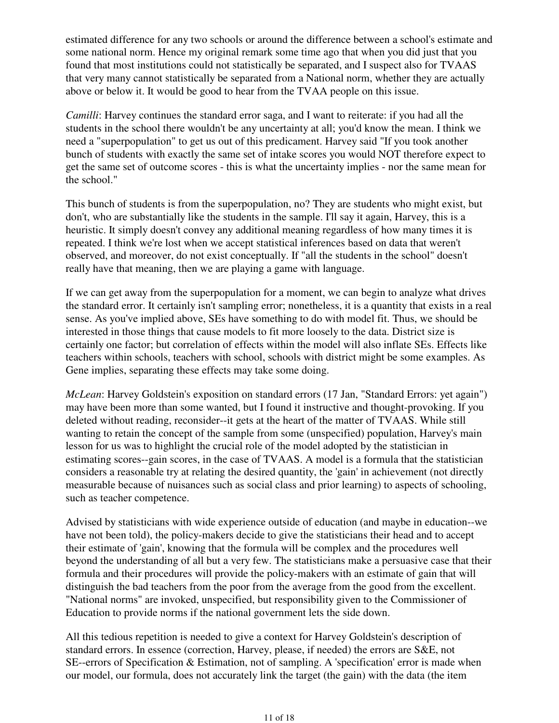estimated difference for any two schools or around the difference between a school's estimate and some national norm. Hence my original remark some time ago that when you did just that you found that most institutions could not statistically be separated, and I suspect also for TVAAS that very many cannot statistically be separated from a National norm, whether they are actually above or below it. It would be good to hear from the TVAA people on this issue.

*Camilli*: Harvey continues the standard error saga, and I want to reiterate: if you had all the students in the school there wouldn't be any uncertainty at all; you'd know the mean. I think we need a "superpopulation" to get us out of this predicament. Harvey said "If you took another bunch of students with exactly the same set of intake scores you would NOT therefore expect to get the same set of outcome scores - this is what the uncertainty implies - nor the same mean for the school."

This bunch of students is from the superpopulation, no? They are students who might exist, but don't, who are substantially like the students in the sample. I'll say it again, Harvey, this is a heuristic. It simply doesn't convey any additional meaning regardless of how many times it is repeated. I think we're lost when we accept statistical inferences based on data that weren't observed, and moreover, do not exist conceptually. If "all the students in the school" doesn't really have that meaning, then we are playing a game with language.

If we can get away from the superpopulation for a moment, we can begin to analyze what drives the standard error. It certainly isn't sampling error; nonetheless, it is a quantity that exists in a real sense. As you've implied above, SEs have something to do with model fit. Thus, we should be interested in those things that cause models to fit more loosely to the data. District size is certainly one factor; but correlation of effects within the model will also inflate SEs. Effects like teachers within schools, teachers with school, schools with district might be some examples. As Gene implies, separating these effects may take some doing.

*McLean*: Harvey Goldstein's exposition on standard errors (17 Jan, "Standard Errors: yet again") may have been more than some wanted, but I found it instructive and thought-provoking. If you deleted without reading, reconsider--it gets at the heart of the matter of TVAAS. While still wanting to retain the concept of the sample from some (unspecified) population, Harvey's main lesson for us was to highlight the crucial role of the model adopted by the statistician in estimating scores--gain scores, in the case of TVAAS. A model is a formula that the statistician considers a reasonable try at relating the desired quantity, the 'gain' in achievement (not directly measurable because of nuisances such as social class and prior learning) to aspects of schooling, such as teacher competence.

Advised by statisticians with wide experience outside of education (and maybe in education--we have not been told), the policy-makers decide to give the statisticians their head and to accept their estimate of 'gain', knowing that the formula will be complex and the procedures well beyond the understanding of all but a very few. The statisticians make a persuasive case that their formula and their procedures will provide the policy-makers with an estimate of gain that will distinguish the bad teachers from the poor from the average from the good from the excellent. "National norms" are invoked, unspecified, but responsibility given to the Commissioner of Education to provide norms if the national government lets the side down.

All this tedious repetition is needed to give a context for Harvey Goldstein's description of standard errors. In essence (correction, Harvey, please, if needed) the errors are S&E, not SE--errors of Specification & Estimation, not of sampling. A 'specification' error is made when our model, our formula, does not accurately link the target (the gain) with the data (the item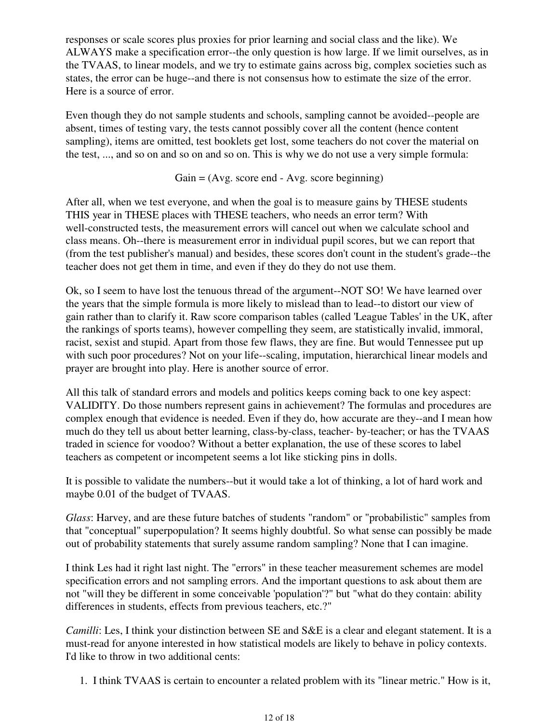responses or scale scores plus proxies for prior learning and social class and the like). We ALWAYS make a specification error--the only question is how large. If we limit ourselves, as in the TVAAS, to linear models, and we try to estimate gains across big, complex societies such as states, the error can be huge--and there is not consensus how to estimate the size of the error. Here is a source of error.

Even though they do not sample students and schools, sampling cannot be avoided--people are absent, times of testing vary, the tests cannot possibly cover all the content (hence content sampling), items are omitted, test booklets get lost, some teachers do not cover the material on the test, ..., and so on and so on and so on. This is why we do not use a very simple formula:

 $Gain = (Avg. score end - Avg. score beginning)$ 

After all, when we test everyone, and when the goal is to measure gains by THESE students THIS year in THESE places with THESE teachers, who needs an error term? With well-constructed tests, the measurement errors will cancel out when we calculate school and class means. Oh--there is measurement error in individual pupil scores, but we can report that (from the test publisher's manual) and besides, these scores don't count in the student's grade--the teacher does not get them in time, and even if they do they do not use them.

Ok, so I seem to have lost the tenuous thread of the argument--NOT SO! We have learned over the years that the simple formula is more likely to mislead than to lead--to distort our view of gain rather than to clarify it. Raw score comparison tables (called 'League Tables' in the UK, after the rankings of sports teams), however compelling they seem, are statistically invalid, immoral, racist, sexist and stupid. Apart from those few flaws, they are fine. But would Tennessee put up with such poor procedures? Not on your life--scaling, imputation, hierarchical linear models and prayer are brought into play. Here is another source of error.

All this talk of standard errors and models and politics keeps coming back to one key aspect: VALIDITY. Do those numbers represent gains in achievement? The formulas and procedures are complex enough that evidence is needed. Even if they do, how accurate are they--and I mean how much do they tell us about better learning, class-by-class, teacher- by-teacher; or has the TVAAS traded in science for voodoo? Without a better explanation, the use of these scores to label teachers as competent or incompetent seems a lot like sticking pins in dolls.

It is possible to validate the numbers--but it would take a lot of thinking, a lot of hard work and maybe 0.01 of the budget of TVAAS.

*Glass*: Harvey, and are these future batches of students "random" or "probabilistic" samples from that "conceptual" superpopulation? It seems highly doubtful. So what sense can possibly be made out of probability statements that surely assume random sampling? None that I can imagine.

I think Les had it right last night. The "errors" in these teacher measurement schemes are model specification errors and not sampling errors. And the important questions to ask about them are not "will they be different in some conceivable 'population'?" but "what do they contain: ability differences in students, effects from previous teachers, etc.?"

*Camilli*: Les, I think your distinction between SE and S&E is a clear and elegant statement. It is a must-read for anyone interested in how statistical models are likely to behave in policy contexts. I'd like to throw in two additional cents:

1. I think TVAAS is certain to encounter a related problem with its "linear metric." How is it,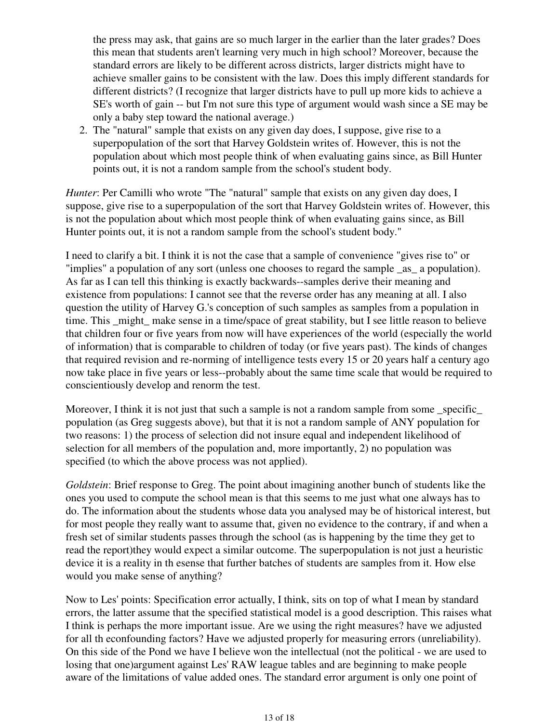the press may ask, that gains are so much larger in the earlier than the later grades? Does this mean that students aren't learning very much in high school? Moreover, because the standard errors are likely to be different across districts, larger districts might have to achieve smaller gains to be consistent with the law. Does this imply different standards for different districts? (I recognize that larger districts have to pull up more kids to achieve a SE's worth of gain -- but I'm not sure this type of argument would wash since a SE may be only a baby step toward the national average.)

2. The "natural" sample that exists on any given day does, I suppose, give rise to a superpopulation of the sort that Harvey Goldstein writes of. However, this is not the population about which most people think of when evaluating gains since, as Bill Hunter points out, it is not a random sample from the school's student body.

*Hunter*: Per Camilli who wrote "The "natural" sample that exists on any given day does, I suppose, give rise to a superpopulation of the sort that Harvey Goldstein writes of. However, this is not the population about which most people think of when evaluating gains since, as Bill Hunter points out, it is not a random sample from the school's student body."

I need to clarify a bit. I think it is not the case that a sample of convenience "gives rise to" or "implies" a population of any sort (unless one chooses to regard the sample \_as\_ a population). As far as I can tell this thinking is exactly backwards--samples derive their meaning and existence from populations: I cannot see that the reverse order has any meaning at all. I also question the utility of Harvey G.'s conception of such samples as samples from a population in time. This \_might\_ make sense in a time/space of great stability, but I see little reason to believe that children four or five years from now will have experiences of the world (especially the world of information) that is comparable to children of today (or five years past). The kinds of changes that required revision and re-norming of intelligence tests every 15 or 20 years half a century ago now take place in five years or less--probably about the same time scale that would be required to conscientiously develop and renorm the test.

Moreover, I think it is not just that such a sample is not a random sample from some specific population (as Greg suggests above), but that it is not a random sample of ANY population for two reasons: 1) the process of selection did not insure equal and independent likelihood of selection for all members of the population and, more importantly, 2) no population was specified (to which the above process was not applied).

*Goldstein*: Brief response to Greg. The point about imagining another bunch of students like the ones you used to compute the school mean is that this seems to me just what one always has to do. The information about the students whose data you analysed may be of historical interest, but for most people they really want to assume that, given no evidence to the contrary, if and when a fresh set of similar students passes through the school (as is happening by the time they get to read the report)they would expect a similar outcome. The superpopulation is not just a heuristic device it is a reality in th esense that further batches of students are samples from it. How else would you make sense of anything?

Now to Les' points: Specification error actually, I think, sits on top of what I mean by standard errors, the latter assume that the specified statistical model is a good description. This raises what I think is perhaps the more important issue. Are we using the right measures? have we adjusted for all th econfounding factors? Have we adjusted properly for measuring errors (unreliability). On this side of the Pond we have I believe won the intellectual (not the political - we are used to losing that one)argument against Les' RAW league tables and are beginning to make people aware of the limitations of value added ones. The standard error argument is only one point of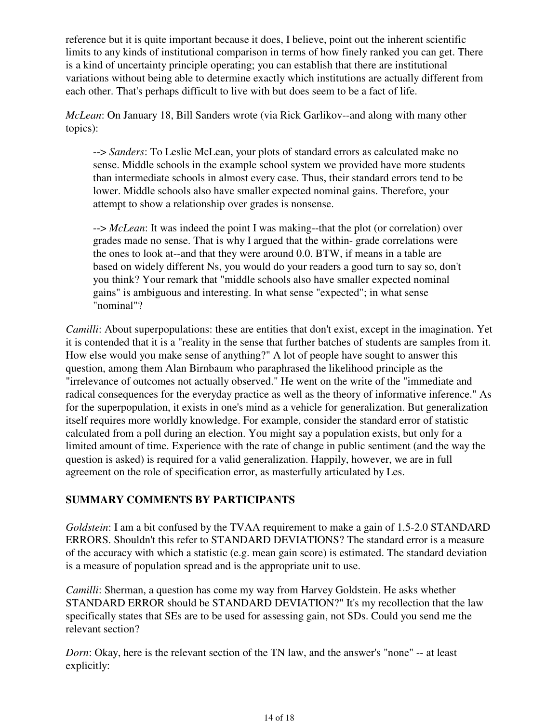reference but it is quite important because it does, I believe, point out the inherent scientific limits to any kinds of institutional comparison in terms of how finely ranked you can get. There is a kind of uncertainty principle operating; you can establish that there are institutional variations without being able to determine exactly which institutions are actually different from each other. That's perhaps difficult to live with but does seem to be a fact of life.

*McLean*: On January 18, Bill Sanders wrote (via Rick Garlikov--and along with many other topics):

--> *Sanders*: To Leslie McLean, your plots of standard errors as calculated make no sense. Middle schools in the example school system we provided have more students than intermediate schools in almost every case. Thus, their standard errors tend to be lower. Middle schools also have smaller expected nominal gains. Therefore, your attempt to show a relationship over grades is nonsense.

--> *McLean*: It was indeed the point I was making--that the plot (or correlation) over grades made no sense. That is why I argued that the within- grade correlations were the ones to look at--and that they were around 0.0. BTW, if means in a table are based on widely different Ns, you would do your readers a good turn to say so, don't you think? Your remark that "middle schools also have smaller expected nominal gains" is ambiguous and interesting. In what sense "expected"; in what sense "nominal"?

*Camilli*: About superpopulations: these are entities that don't exist, except in the imagination. Yet it is contended that it is a "reality in the sense that further batches of students are samples from it. How else would you make sense of anything?" A lot of people have sought to answer this question, among them Alan Birnbaum who paraphrased the likelihood principle as the "irrelevance of outcomes not actually observed." He went on the write of the "immediate and radical consequences for the everyday practice as well as the theory of informative inference." As for the superpopulation, it exists in one's mind as a vehicle for generalization. But generalization itself requires more worldly knowledge. For example, consider the standard error of statistic calculated from a poll during an election. You might say a population exists, but only for a limited amount of time. Experience with the rate of change in public sentiment (and the way the question is asked) is required for a valid generalization. Happily, however, we are in full agreement on the role of specification error, as masterfully articulated by Les.

## **SUMMARY COMMENTS BY PARTICIPANTS**

*Goldstein*: I am a bit confused by the TVAA requirement to make a gain of 1.5-2.0 STANDARD ERRORS. Shouldn't this refer to STANDARD DEVIATIONS? The standard error is a measure of the accuracy with which a statistic (e.g. mean gain score) is estimated. The standard deviation is a measure of population spread and is the appropriate unit to use.

*Camilli*: Sherman, a question has come my way from Harvey Goldstein. He asks whether STANDARD ERROR should be STANDARD DEVIATION?" It's my recollection that the law specifically states that SEs are to be used for assessing gain, not SDs. Could you send me the relevant section?

*Dorn*: Okay, here is the relevant section of the TN law, and the answer's "none" -- at least explicitly: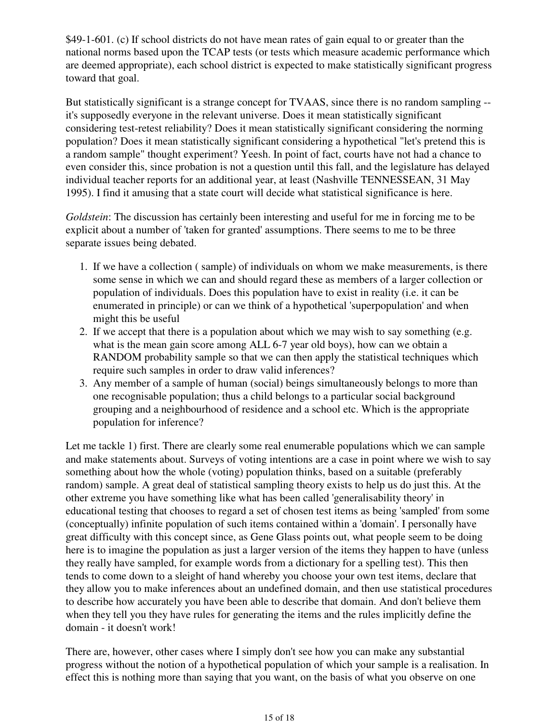\$49-1-601. (c) If school districts do not have mean rates of gain equal to or greater than the national norms based upon the TCAP tests (or tests which measure academic performance which are deemed appropriate), each school district is expected to make statistically significant progress toward that goal.

But statistically significant is a strange concept for TVAAS, since there is no random sampling - it's supposedly everyone in the relevant universe. Does it mean statistically significant considering test-retest reliability? Does it mean statistically significant considering the norming population? Does it mean statistically significant considering a hypothetical "let's pretend this is a random sample" thought experiment? Yeesh. In point of fact, courts have not had a chance to even consider this, since probation is not a question until this fall, and the legislature has delayed individual teacher reports for an additional year, at least (Nashville TENNESSEAN, 31 May 1995). I find it amusing that a state court will decide what statistical significance is here.

*Goldstein*: The discussion has certainly been interesting and useful for me in forcing me to be explicit about a number of 'taken for granted' assumptions. There seems to me to be three separate issues being debated.

- 1. If we have a collection (sample) of individuals on whom we make measurements, is there some sense in which we can and should regard these as members of a larger collection or population of individuals. Does this population have to exist in reality (i.e. it can be enumerated in principle) or can we think of a hypothetical 'superpopulation' and when might this be useful
- 2. If we accept that there is a population about which we may wish to say something (e.g. what is the mean gain score among ALL 6-7 year old boys), how can we obtain a RANDOM probability sample so that we can then apply the statistical techniques which require such samples in order to draw valid inferences?
- 3. Any member of a sample of human (social) beings simultaneously belongs to more than one recognisable population; thus a child belongs to a particular social background grouping and a neighbourhood of residence and a school etc. Which is the appropriate population for inference?

Let me tackle 1) first. There are clearly some real enumerable populations which we can sample and make statements about. Surveys of voting intentions are a case in point where we wish to say something about how the whole (voting) population thinks, based on a suitable (preferably random) sample. A great deal of statistical sampling theory exists to help us do just this. At the other extreme you have something like what has been called 'generalisability theory' in educational testing that chooses to regard a set of chosen test items as being 'sampled' from some (conceptually) infinite population of such items contained within a 'domain'. I personally have great difficulty with this concept since, as Gene Glass points out, what people seem to be doing here is to imagine the population as just a larger version of the items they happen to have (unless they really have sampled, for example words from a dictionary for a spelling test). This then tends to come down to a sleight of hand whereby you choose your own test items, declare that they allow you to make inferences about an undefined domain, and then use statistical procedures to describe how accurately you have been able to describe that domain. And don't believe them when they tell you they have rules for generating the items and the rules implicitly define the domain - it doesn't work!

There are, however, other cases where I simply don't see how you can make any substantial progress without the notion of a hypothetical population of which your sample is a realisation. In effect this is nothing more than saying that you want, on the basis of what you observe on one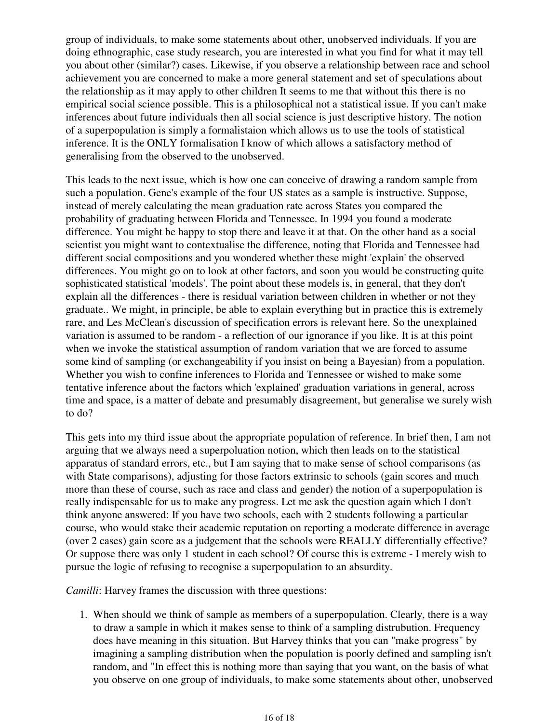group of individuals, to make some statements about other, unobserved individuals. If you are doing ethnographic, case study research, you are interested in what you find for what it may tell you about other (similar?) cases. Likewise, if you observe a relationship between race and school achievement you are concerned to make a more general statement and set of speculations about the relationship as it may apply to other children It seems to me that without this there is no empirical social science possible. This is a philosophical not a statistical issue. If you can't make inferences about future individuals then all social science is just descriptive history. The notion of a superpopulation is simply a formalistaion which allows us to use the tools of statistical inference. It is the ONLY formalisation I know of which allows a satisfactory method of generalising from the observed to the unobserved.

This leads to the next issue, which is how one can conceive of drawing a random sample from such a population. Gene's example of the four US states as a sample is instructive. Suppose, instead of merely calculating the mean graduation rate across States you compared the probability of graduating between Florida and Tennessee. In 1994 you found a moderate difference. You might be happy to stop there and leave it at that. On the other hand as a social scientist you might want to contextualise the difference, noting that Florida and Tennessee had different social compositions and you wondered whether these might 'explain' the observed differences. You might go on to look at other factors, and soon you would be constructing quite sophisticated statistical 'models'. The point about these models is, in general, that they don't explain all the differences - there is residual variation between children in whether or not they graduate.. We might, in principle, be able to explain everything but in practice this is extremely rare, and Les McClean's discussion of specification errors is relevant here. So the unexplained variation is assumed to be random - a reflection of our ignorance if you like. It is at this point when we invoke the statistical assumption of random variation that we are forced to assume some kind of sampling (or exchangeability if you insist on being a Bayesian) from a population. Whether you wish to confine inferences to Florida and Tennessee or wished to make some tentative inference about the factors which 'explained' graduation variations in general, across time and space, is a matter of debate and presumably disagreement, but generalise we surely wish to do?

This gets into my third issue about the appropriate population of reference. In brief then, I am not arguing that we always need a superpoluation notion, which then leads on to the statistical apparatus of standard errors, etc., but I am saying that to make sense of school comparisons (as with State comparisons), adjusting for those factors extrinsic to schools (gain scores and much more than these of course, such as race and class and gender) the notion of a superpopulation is really indispensable for us to make any progress. Let me ask the question again which I don't think anyone answered: If you have two schools, each with 2 students following a particular course, who would stake their academic reputation on reporting a moderate difference in average (over 2 cases) gain score as a judgement that the schools were REALLY differentially effective? Or suppose there was only 1 student in each school? Of course this is extreme - I merely wish to pursue the logic of refusing to recognise a superpopulation to an absurdity.

*Camilli*: Harvey frames the discussion with three questions:

When should we think of sample as members of a superpopulation. Clearly, there is a way 1.to draw a sample in which it makes sense to think of a sampling distrubution. Frequency does have meaning in this situation. But Harvey thinks that you can "make progress" by imagining a sampling distribution when the population is poorly defined and sampling isn't random, and "In effect this is nothing more than saying that you want, on the basis of what you observe on one group of individuals, to make some statements about other, unobserved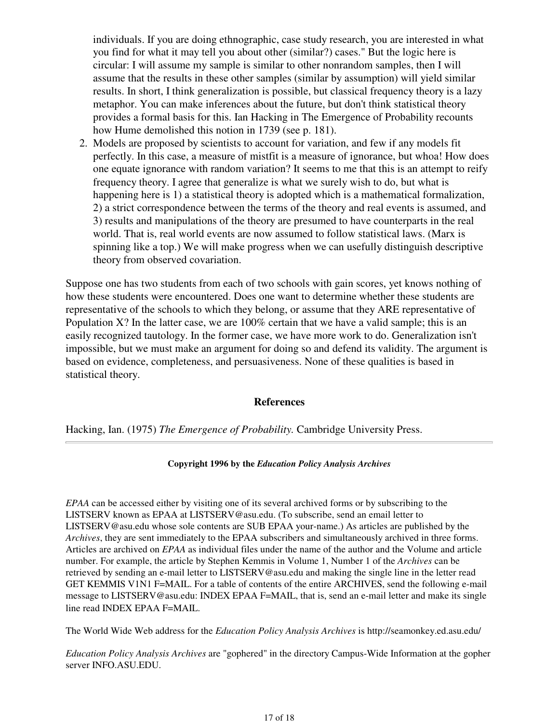individuals. If you are doing ethnographic, case study research, you are interested in what you find for what it may tell you about other (similar?) cases." But the logic here is circular: I will assume my sample is similar to other nonrandom samples, then I will assume that the results in these other samples (similar by assumption) will yield similar results. In short, I think generalization is possible, but classical frequency theory is a lazy metaphor. You can make inferences about the future, but don't think statistical theory provides a formal basis for this. Ian Hacking in The Emergence of Probability recounts how Hume demolished this notion in 1739 (see p. 181).

2. Models are proposed by scientists to account for variation, and few if any models fit perfectly. In this case, a measure of mistfit is a measure of ignorance, but whoa! How does one equate ignorance with random variation? It seems to me that this is an attempt to reify frequency theory. I agree that generalize is what we surely wish to do, but what is happening here is 1) a statistical theory is adopted which is a mathematical formalization, 2) a strict correspondence between the terms of the theory and real events is assumed, and 3) results and manipulations of the theory are presumed to have counterparts in the real world. That is, real world events are now assumed to follow statistical laws. (Marx is spinning like a top.) We will make progress when we can usefully distinguish descriptive theory from observed covariation.

Suppose one has two students from each of two schools with gain scores, yet knows nothing of how these students were encountered. Does one want to determine whether these students are representative of the schools to which they belong, or assume that they ARE representative of Population  $X$ ? In the latter case, we are 100% certain that we have a valid sample; this is an easily recognized tautology. In the former case, we have more work to do. Generalization isn't impossible, but we must make an argument for doing so and defend its validity. The argument is based on evidence, completeness, and persuasiveness. None of these qualities is based in statistical theory.

#### **References**

Hacking, Ian. (1975) *The Emergence of Probability.* Cambridge University Press.

#### **Copyright 1996 by the** *Education Policy Analysis Archives*

*EPAA* can be accessed either by visiting one of its several archived forms or by subscribing to the LISTSERV known as EPAA at LISTSERV@asu.edu. (To subscribe, send an email letter to LISTSERV@asu.edu whose sole contents are SUB EPAA your-name.) As articles are published by the *Archives*, they are sent immediately to the EPAA subscribers and simultaneously archived in three forms. Articles are archived on *EPAA* as individual files under the name of the author and the Volume and article number. For example, the article by Stephen Kemmis in Volume 1, Number 1 of the *Archives* can be retrieved by sending an e-mail letter to LISTSERV@asu.edu and making the single line in the letter read GET KEMMIS V1N1 F=MAIL. For a table of contents of the entire ARCHIVES, send the following e-mail message to LISTSERV@asu.edu: INDEX EPAA F=MAIL, that is, send an e-mail letter and make its single line read INDEX EPAA F=MAIL.

The World Wide Web address for the *Education Policy Analysis Archives* is http://seamonkey.ed.asu.edu/

*Education Policy Analysis Archives* are "gophered" in the directory Campus-Wide Information at the gopher server INFO.ASU.EDU.